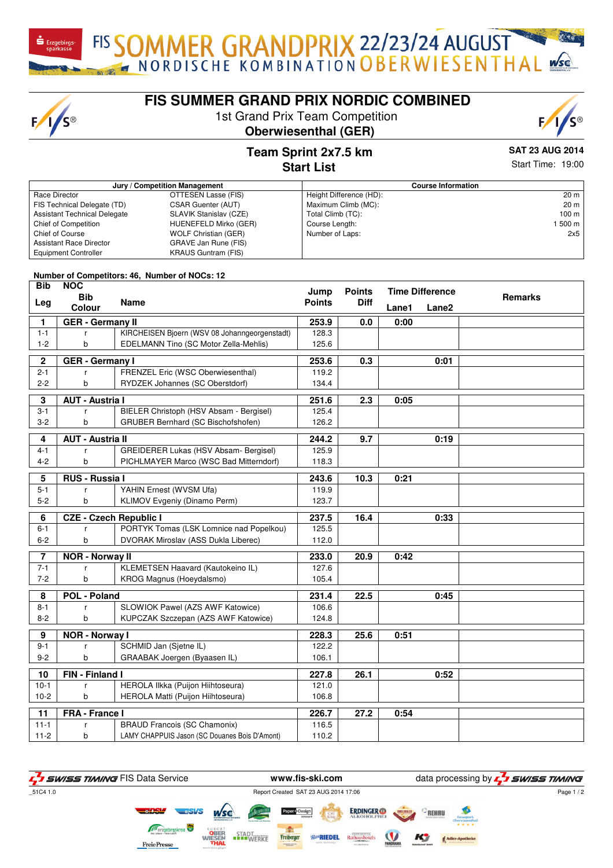FIS SOMMER GRANDPRIX 22/23/24 AUGUST

## **FIS SUMMER GRAND PRIX NORDIC COMBINED**

1st Grand Prix Team Competition





## **Team Sprint 2x7.5 km Start List**

**SAT 23 AUG 2014**

| Jury / Competition Management       |                             |                         | <b>Course Information</b> |  |  |  |
|-------------------------------------|-----------------------------|-------------------------|---------------------------|--|--|--|
| Race Director                       | OTTESEN Lasse (FIS)         | Height Difference (HD): | 20 m                      |  |  |  |
| FIS Technical Delegate (TD)         | <b>CSAR Guenter (AUT)</b>   | Maximum Climb (MC):     | 20 m                      |  |  |  |
| <b>Assistant Technical Delegate</b> | SLAVIK Stanislav (CZE)      | Total Climb (TC):       | 100 m                     |  |  |  |
| Chief of Competition                | HUENEFELD Mirko (GER)       | Course Length:          | 1 500 m                   |  |  |  |
| <b>Chief of Course</b>              | <b>WOLF Christian (GER)</b> | Number of Laps:         | 2x5                       |  |  |  |
| <b>Assistant Race Director</b>      | GRAVE Jan Rune (FIS)        |                         |                           |  |  |  |
| <b>Equipment Controller</b>         | <b>KRAUS Guntram (FIS)</b>  |                         |                           |  |  |  |

**Number of Competitors: 46, Number of NOCs: 12**

 $F/1/S^{\circ}$ 

| <b>Bib</b>              | <b>NOC</b><br><b>Bib</b>      |                                               | Jump          | <b>Points</b> | <b>Time Difference</b> |                   | <b>Remarks</b> |
|-------------------------|-------------------------------|-----------------------------------------------|---------------|---------------|------------------------|-------------------|----------------|
| Leg                     | Colour                        | <b>Name</b>                                   | <b>Points</b> | Diff          | Lane1                  | Lane <sub>2</sub> |                |
| 1.                      | <b>GER</b> - Germany II       |                                               | 253.9         | 0.0           | 0:00                   |                   |                |
| $1 - 1$                 |                               | KIRCHEISEN Bjoern (WSV 08 Johanngeorgenstadt) | 128.3         |               |                        |                   |                |
| $1 - 2$                 | b                             | EDELMANN Tino (SC Motor Zella-Mehlis)         | 125.6         |               |                        |                   |                |
| $\overline{\mathbf{2}}$ | <b>GER</b> - Germany I        |                                               | 253.6         | 0.3           |                        | 0:01              |                |
| $2 - 1$                 |                               | FRENZEL Eric (WSC Oberwiesenthal)             | 119.2         |               |                        |                   |                |
| $2 - 2$                 | b                             | RYDZEK Johannes (SC Oberstdorf)               | 134.4         |               |                        |                   |                |
| 3                       | <b>AUT - Austria I</b>        |                                               | 251.6         | 2.3           | 0:05                   |                   |                |
| $3 - 1$                 |                               | BIELER Christoph (HSV Absam - Bergisel)       | 125.4         |               |                        |                   |                |
| $3-2$                   | b                             | <b>GRUBER Bernhard (SC Bischofshofen)</b>     | 126.2         |               |                        |                   |                |
| 4                       | <b>AUT - Austria II</b>       |                                               | 244.2         | 9.7           |                        | 0:19              |                |
| $4 - 1$                 |                               | GREIDERER Lukas (HSV Absam- Bergisel)         | 125.9         |               |                        |                   |                |
| $4 - 2$                 | b                             | PICHLMAYER Marco (WSC Bad Mitterndorf)        | 118.3         |               |                        |                   |                |
| 5                       | RUS - Russia I                |                                               | 243.6         | 10.3          | 0:21                   |                   |                |
| $5 - 1$                 | r                             | YAHIN Ernest (WVSM Ufa)                       | 119.9         |               |                        |                   |                |
| $5-2$                   | b                             | KLIMOV Evgeniy (Dinamo Perm)                  | 123.7         |               |                        |                   |                |
| 6                       | <b>CZE - Czech Republic I</b> |                                               | 237.5         | 16.4          |                        | 0:33              |                |
| $6 - 1$                 | r                             | PORTYK Tomas (LSK Lomnice nad Popelkou)       | 125.5         |               |                        |                   |                |
| $6 - 2$                 | b                             | <b>DVORAK Miroslav (ASS Dukla Liberec)</b>    | 112.0         |               |                        |                   |                |
| $\overline{7}$          | <b>NOR - Norway II</b>        |                                               | 233.0         | 20.9          | 0:42                   |                   |                |
| $7 - 1$                 |                               | KLEMETSEN Haavard (Kautokeino IL)             | 127.6         |               |                        |                   |                |
| $7 - 2$                 | b                             | KROG Magnus (Hoeydalsmo)                      | 105.4         |               |                        |                   |                |
| 8                       | <b>POL - Poland</b>           |                                               | 231.4         | 22.5          |                        | 0:45              |                |
| $8 - 1$                 |                               | SLOWIOK Pawel (AZS AWF Katowice)              | 106.6         |               |                        |                   |                |
| $8 - 2$                 | b                             | KUPCZAK Szczepan (AZS AWF Katowice)           | 124.8         |               |                        |                   |                |
| 9                       | <b>NOR - Norway I</b>         |                                               | 228.3         | 25.6          | 0:51                   |                   |                |
| $9 - 1$                 |                               | SCHMID Jan (Sjetne IL)                        | 122.2         |               |                        |                   |                |
| $9 - 2$                 | b                             | GRAABAK Joergen (Byaasen IL)                  | 106.1         |               |                        |                   |                |
| 10                      | FIN - Finland I               |                                               | 227.8         | 26.1          |                        | 0:52              |                |
| $10-1$                  | r                             | HEROLA Ilkka (Puijon Hiihtoseura)             | 121.0         |               |                        |                   |                |
| $10-2$                  | b                             | HEROLA Matti (Puijon Hiihtoseura)             | 106.8         |               |                        |                   |                |
| 11                      | <b>FRA - France I</b>         |                                               | 226.7         | 27.2          | 0:54                   |                   |                |
| $11 - 1$                | r                             | <b>BRAUD Francois (SC Chamonix)</b>           | 116.5         |               |                        |                   |                |
| $11-2$                  | b                             | LAMY CHAPPUIS Jason (SC Douanes Bois D'Amont) | 110.2         |               |                        |                   |                |